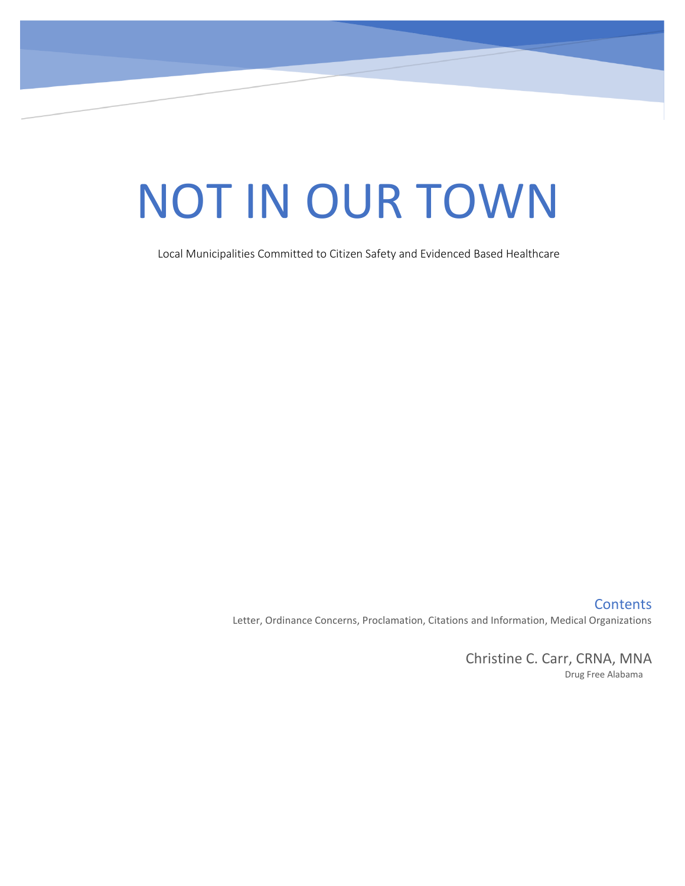# NOT IN OUR TOWN

Local Municipalities Committed to Citizen Safety and Evidenced Based Healthcare

**Contents** Letter, Ordinance Concerns, Proclamation, Citations and Information, Medical Organizations

> Christine C. Carr, CRNA, MNA Drug Free Alabama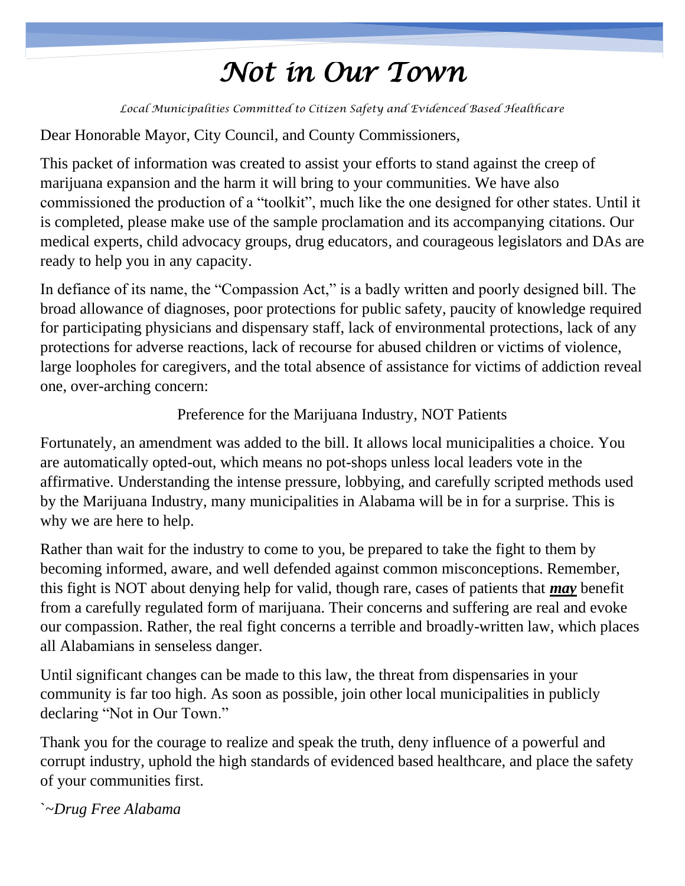## *Not in Our Town*

*Local Municipalities Committed to Citizen Safety and Evidenced Based Healthcare*

#### Dear Honorable Mayor, City Council, and County Commissioners,

This packet of information was created to assist your efforts to stand against the creep of marijuana expansion and the harm it will bring to your communities. We have also commissioned the production of a "toolkit", much like the one designed for other states. Until it is completed, please make use of the sample proclamation and its accompanying citations. Our medical experts, child advocacy groups, drug educators, and courageous legislators and DAs are ready to help you in any capacity.

In defiance of its name, the "Compassion Act," is a badly written and poorly designed bill. The broad allowance of diagnoses, poor protections for public safety, paucity of knowledge required for participating physicians and dispensary staff, lack of environmental protections, lack of any protections for adverse reactions, lack of recourse for abused children or victims of violence, large loopholes for caregivers, and the total absence of assistance for victims of addiction reveal one, over-arching concern:

#### Preference for the Marijuana Industry, NOT Patients

Fortunately, an amendment was added to the bill. It allows local municipalities a choice. You are automatically opted-out, which means no pot-shops unless local leaders vote in the affirmative. Understanding the intense pressure, lobbying, and carefully scripted methods used by the Marijuana Industry, many municipalities in Alabama will be in for a surprise. This is why we are here to help.

Rather than wait for the industry to come to you, be prepared to take the fight to them by becoming informed, aware, and well defended against common misconceptions. Remember, this fight is NOT about denying help for valid, though rare, cases of patients that *may* benefit from a carefully regulated form of marijuana. Their concerns and suffering are real and evoke our compassion. Rather, the real fight concerns a terrible and broadly-written law, which places all Alabamians in senseless danger.

Until significant changes can be made to this law, the threat from dispensaries in your community is far too high. As soon as possible, join other local municipalities in publicly declaring "Not in Our Town."

Thank you for the courage to realize and speak the truth, deny influence of a powerful and corrupt industry, uphold the high standards of evidenced based healthcare, and place the safety of your communities first.

`~*Drug Free Alabama*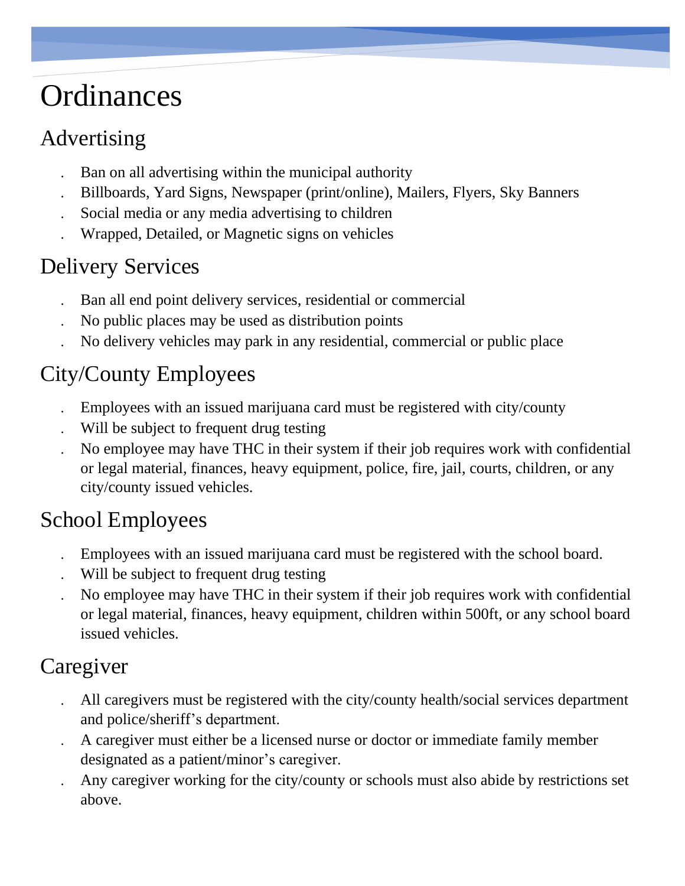## **Ordinances**

## Advertising

- Ban on all advertising within the municipal authority
- Billboards, Yard Signs, Newspaper (print/online), Mailers, Flyers, Sky Banners
- Social media or any media advertising to children
- Wrapped, Detailed, or Magnetic signs on vehicles

## Delivery Services

- Ban all end point delivery services, residential or commercial
- No public places may be used as distribution points
- No delivery vehicles may park in any residential, commercial or public place

## City/County Employees

- Employees with an issued marijuana card must be registered with city/county
- Will be subject to frequent drug testing
- No employee may have THC in their system if their job requires work with confidential or legal material, finances, heavy equipment, police, fire, jail, courts, children, or any city/county issued vehicles.

## School Employees

- Employees with an issued marijuana card must be registered with the school board.
- Will be subject to frequent drug testing
- No employee may have THC in their system if their job requires work with confidential or legal material, finances, heavy equipment, children within 500ft, or any school board issued vehicles.

## Caregiver

- All caregivers must be registered with the city/county health/social services department and police/sheriff's department.
- A caregiver must either be a licensed nurse or doctor or immediate family member designated as a patient/minor's caregiver.
- Any caregiver working for the city/county or schools must also abide by restrictions set above.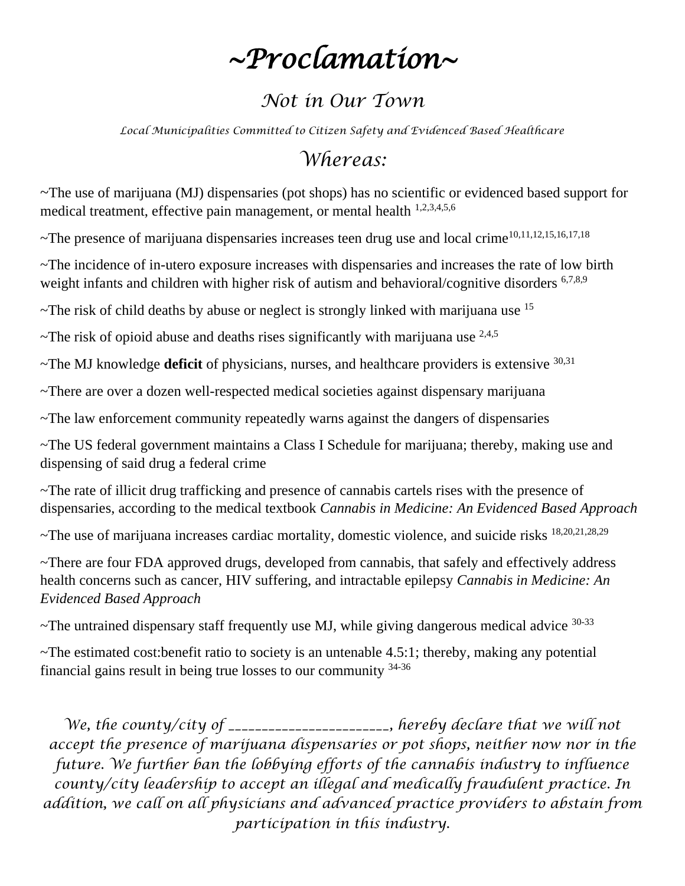## *~Proclamation~*

## *Not in Our Town*

*Local Municipalities Committed to Citizen Safety and Evidenced Based Healthcare*

## *Whereas:*

~The use of marijuana (MJ) dispensaries (pot shops) has no scientific or evidenced based support for medical treatment, effective pain management, or mental health 1,2,3,4,5,6

~The presence of marijuana dispensaries increases teen drug use and local crime10,11,12,15,16,17,18

~The incidence of in-utero exposure increases with dispensaries and increases the rate of low birth weight infants and children with higher risk of autism and behavioral/cognitive disorders <sup>6,7,8,9</sup>

 $\sim$ The risk of child deaths by abuse or neglect is strongly linked with marijuana use  $^{15}$ 

~The risk of opioid abuse and deaths rises significantly with marijuana use  $2,4,5$ 

~The MJ knowledge **deficit** of physicians, nurses, and healthcare providers is extensive 30,31

~There are over a dozen well-respected medical societies against dispensary marijuana

~The law enforcement community repeatedly warns against the dangers of dispensaries

~The US federal government maintains a Class I Schedule for marijuana; thereby, making use and dispensing of said drug a federal crime

~The rate of illicit drug trafficking and presence of cannabis cartels rises with the presence of dispensaries, according to the medical textbook *Cannabis in Medicine: An Evidenced Based Approach*

~The use of marijuana increases cardiac mortality, domestic violence, and suicide risks 18,20,21,28,29

~There are four FDA approved drugs, developed from cannabis, that safely and effectively address health concerns such as cancer, HIV suffering, and intractable epilepsy *Cannabis in Medicine: An Evidenced Based Approach*

 $\sim$ The untrained dispensary staff frequently use MJ, while giving dangerous medical advice  $30-33$ 

 $\sim$ The estimated cost: benefit ratio to society is an untenable 4.5:1; thereby, making any potential financial gains result in being true losses to our community 34-36

*We, the county/city of \_\_\_\_\_\_\_\_\_\_\_\_\_\_\_\_\_\_\_\_, hereby declare that we will not accept the presence of marijuana dispensaries or pot shops, neither now nor in the future. We further ban the lobbying efforts of the cannabis industry to influence county/city leadership to accept an illegal and medically fraudulent practice. In addition, we call on all physicians and advanced practice providers to abstain from participation in this industry.*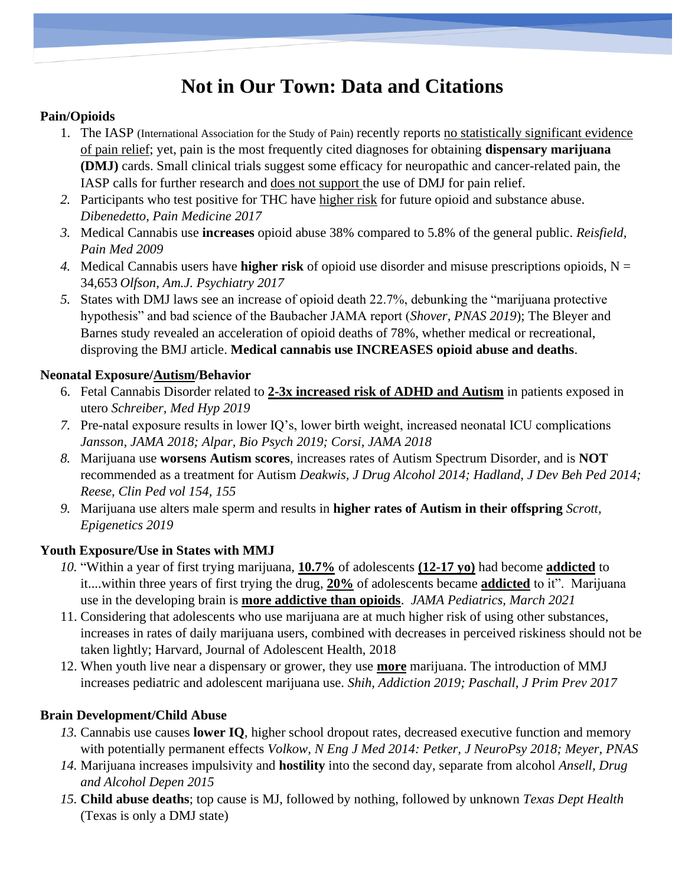## **Not in Our Town: Data and Citations**

#### **Pain/Opioids**

- 1. The IASP (International Association for the Study of Pain) recently reports no statistically significant evidence of pain relief; yet, pain is the most frequently cited diagnoses for obtaining **dispensary marijuana (DMJ)** cards. Small clinical trials suggest some efficacy for neuropathic and cancer-related pain, the IASP calls for further research and does not support the use of DMJ for pain relief.
- *2.* Participants who test positive for THC have higher risk for future opioid and substance abuse. *Dibenedetto, Pain Medicine 2017*
- *3.* Medical Cannabis use **increases** opioid abuse 38% compared to 5.8% of the general public. *Reisfield, Pain Med 2009*
- *4.* Medical Cannabis users have **higher risk** of opioid use disorder and misuse prescriptions opioids, N = 34,653 *Olfson, Am.J. Psychiatry 2017*
- *5.* States with DMJ laws see an increase of opioid death 22.7%, debunking the "marijuana protective hypothesis" and bad science of the Baubacher JAMA report (*Shover, PNAS 2019*); The Bleyer and Barnes study revealed an acceleration of opioid deaths of 78%, whether medical or recreational, disproving the BMJ article. **Medical cannabis use INCREASES opioid abuse and deaths**.

#### **Neonatal Exposure/Autism/Behavior**

- 6. Fetal Cannabis Disorder related to **2-3x increased risk of ADHD and Autism** in patients exposed in utero *Schreiber, Med Hyp 2019*
- *7.* Pre-natal exposure results in lower IQ's, lower birth weight, increased neonatal ICU complications *Jansson, JAMA 2018; Alpar, Bio Psych 2019; Corsi, JAMA 2018*
- *8.* Marijuana use **worsens Autism scores**, increases rates of Autism Spectrum Disorder, and is **NOT** recommended as a treatment for Autism *Deakwis, J Drug Alcohol 2014; Hadland, J Dev Beh Ped 2014; Reese, Clin Ped vol 154, 155*
- *9.* Marijuana use alters male sperm and results in **higher rates of Autism in their offspring** *Scrott, Epigenetics 2019*

#### **Youth Exposure/Use in States with MMJ**

- *10.* "Within a year of first trying marijuana, **10.7%** of adolescents **(12-17 yo)** had become **addicted** to it....within three years of first trying the drug, **20%** of adolescents became **addicted** to it". Marijuana use in the developing brain is **more addictive than opioids**. *JAMA Pediatrics, March 2021*
- 11. Considering that adolescents who use marijuana are at much higher risk of using other substances, increases in rates of daily marijuana users, combined with decreases in perceived riskiness should not be taken lightly; Harvard, Journal of Adolescent Health, 2018
- 12. When youth live near a dispensary or grower, they use **more** marijuana. The introduction of MMJ increases pediatric and adolescent marijuana use. *Shih, Addiction 2019; Paschall, J Prim Prev 2017*

#### **Brain Development/Child Abuse**

- *13.* Cannabis use causes **lower IQ**, higher school dropout rates, decreased executive function and memory with potentially permanent effects *Volkow, N Eng J Med 2014: Petker, J NeuroPsy 2018; Meyer, PNAS*
- *14.* Marijuana increases impulsivity and **hostility** into the second day, separate from alcohol *Ansell, Drug and Alcohol Depen 2015*
- *15.* **Child abuse deaths**; top cause is MJ, followed by nothing, followed by unknown *Texas Dept Health* (Texas is only a DMJ state)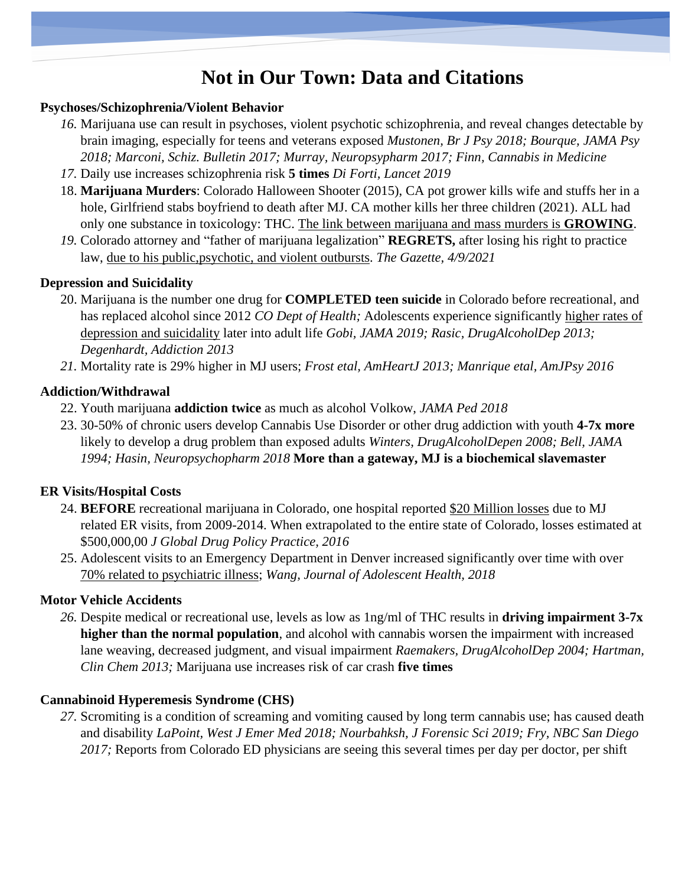### **Not in Our Town: Data and Citations**

#### **Psychoses/Schizophrenia/Violent Behavior**

- *16.* Marijuana use can result in psychoses, violent psychotic schizophrenia, and reveal changes detectable by brain imaging, especially for teens and veterans exposed *Mustonen, Br J Psy 2018; Bourque, JAMA Psy 2018; Marconi, Schiz. Bulletin 2017; Murray, Neuropsypharm 2017; Finn, Cannabis in Medicine*
- *17.* Daily use increases schizophrenia risk **5 times** *Di Forti, Lancet 2019*
- 18. **Marijuana Murders**: Colorado Halloween Shooter (2015), CA pot grower kills wife and stuffs her in a hole, Girlfriend stabs boyfriend to death after MJ. CA mother kills her three children (2021). ALL had only one substance in toxicology: THC. The link between marijuana and mass murders is **GROWING**.
- *19.* Colorado attorney and "father of marijuana legalization" **REGRETS,** after losing his right to practice law, due to his public,psychotic, and violent outbursts. *The Gazette, 4/9/2021*

#### **Depression and Suicidality**

- 20. Marijuana is the number one drug for **COMPLETED teen suicide** in Colorado before recreational, and has replaced alcohol since 2012 *CO Dept of Health;* Adolescents experience significantly higher rates of depression and suicidality later into adult life *Gobi, JAMA 2019; Rasic, DrugAlcoholDep 2013; Degenhardt, Addiction 2013*
- *21.* Mortality rate is 29% higher in MJ users; *Frost etal, AmHeartJ 2013; Manrique etal, AmJPsy 2016*

#### **Addiction/Withdrawal**

- 22. Youth marijuana **addiction twice** as much as alcohol Volkow, *JAMA Ped 2018*
- 23. 30-50% of chronic users develop Cannabis Use Disorder or other drug addiction with youth **4-7x more** likely to develop a drug problem than exposed adults *Winters, DrugAlcoholDepen 2008; Bell, JAMA 1994; Hasin, Neuropsychopharm 2018* **More than a gateway, MJ is a biochemical slavemaster**

#### **ER Visits/Hospital Costs**

- 24. **BEFORE** recreational marijuana in Colorado, one hospital reported \$20 Million losses due to MJ related ER visits, from 2009-2014. When extrapolated to the entire state of Colorado, losses estimated at \$500,000,00 *J Global Drug Policy Practice, 2016*
- 25. Adolescent visits to an Emergency Department in Denver increased significantly over time with over 70% related to psychiatric illness; *Wang, Journal of Adolescent Health, 2018*

#### **Motor Vehicle Accidents**

*26.* Despite medical or recreational use, levels as low as 1ng/ml of THC results in **driving impairment 3-7x higher than the normal population**, and alcohol with cannabis worsen the impairment with increased lane weaving, decreased judgment, and visual impairment *Raemakers, DrugAlcoholDep 2004; Hartman, Clin Chem 2013;* Marijuana use increases risk of car crash **five times**

#### **Cannabinoid Hyperemesis Syndrome (CHS)**

*27.* Scromiting is a condition of screaming and vomiting caused by long term cannabis use; has caused death and disability *LaPoint, West J Emer Med 2018; Nourbahksh, J Forensic Sci 2019; Fry, NBC San Diego 2017;* Reports from Colorado ED physicians are seeing this several times per day per doctor, per shift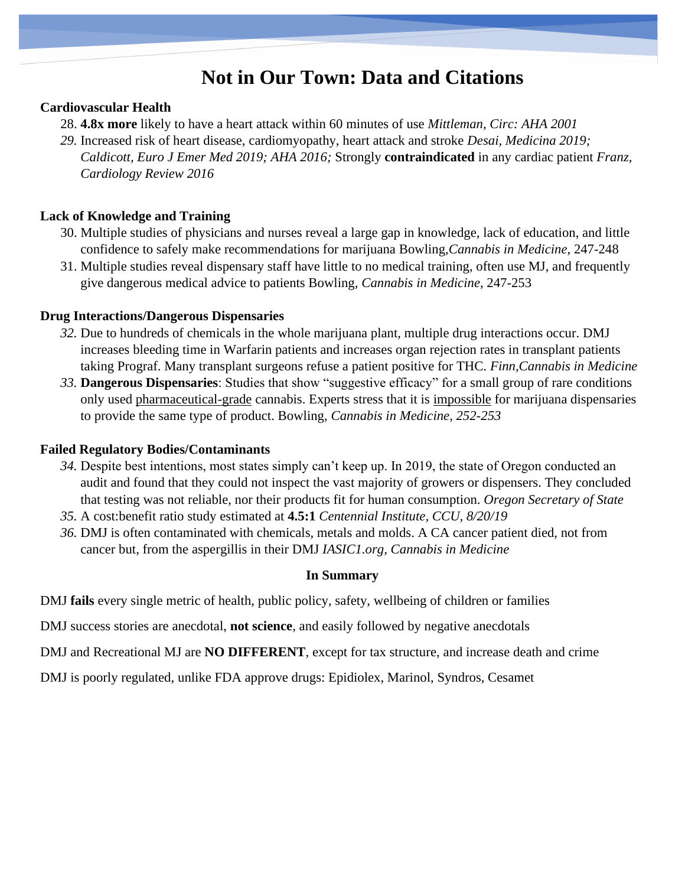### **Not in Our Town: Data and Citations**

#### **Cardiovascular Health**

- 28. **4.8x more** likely to have a heart attack within 60 minutes of use *Mittleman, Circ: AHA 2001*
- *29.* Increased risk of heart disease, cardiomyopathy, heart attack and stroke *Desai, Medicina 2019; Caldicott, Euro J Emer Med 2019; AHA 2016;* Strongly **contraindicated** in any cardiac patient *Franz, Cardiology Review 2016*

#### **Lack of Knowledge and Training**

- 30. Multiple studies of physicians and nurses reveal a large gap in knowledge, lack of education, and little confidence to safely make recommendations for marijuana Bowling,*Cannabis in Medicine*, 247-248
- 31. Multiple studies reveal dispensary staff have little to no medical training, often use MJ, and frequently give dangerous medical advice to patients Bowling, *Cannabis in Medicine*, 247-253

#### **Drug Interactions/Dangerous Dispensaries**

- *32.* Due to hundreds of chemicals in the whole marijuana plant, multiple drug interactions occur. DMJ increases bleeding time in Warfarin patients and increases organ rejection rates in transplant patients taking Prograf. Many transplant surgeons refuse a patient positive for THC. *Finn,Cannabis in Medicine*
- *33.* **Dangerous Dispensaries**: Studies that show "suggestive efficacy" for a small group of rare conditions only used pharmaceutical-grade cannabis. Experts stress that it is impossible for marijuana dispensaries to provide the same type of product. Bowling, *Cannabis in Medicine, 252-253*

#### **Failed Regulatory Bodies/Contaminants**

- *34.* Despite best intentions, most states simply can't keep up. In 2019, the state of Oregon conducted an audit and found that they could not inspect the vast majority of growers or dispensers. They concluded that testing was not reliable, nor their products fit for human consumption. *Oregon Secretary of State*
- *35.* A cost:benefit ratio study estimated at **4.5:1** *Centennial Institute, CCU, 8/20/19*
- *36.* DMJ is often contaminated with chemicals, metals and molds. A CA cancer patient died, not from cancer but, from the aspergillis in their DMJ *IASIC1.org, Cannabis in Medicine*

#### **In Summary**

DMJ **fails** every single metric of health, public policy, safety, wellbeing of children or families

- DMJ success stories are anecdotal, **not science**, and easily followed by negative anecdotals
- DMJ and Recreational MJ are **NO DIFFERENT**, except for tax structure, and increase death and crime
- DMJ is poorly regulated, unlike FDA approve drugs: Epidiolex, Marinol, Syndros, Cesamet